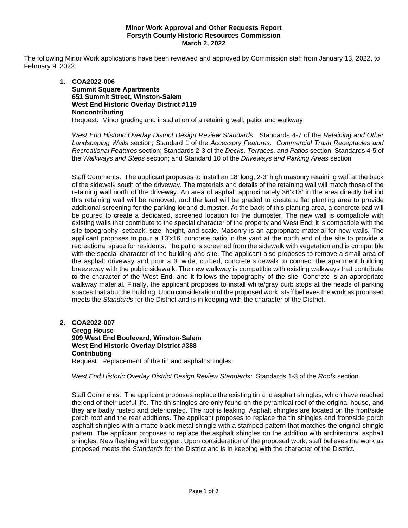# **Minor Work Approval and Other Requests Report Forsyth County Historic Resources Commission March 2, 2022**

The following Minor Work applications have been reviewed and approved by Commission staff from January 13, 2022, to February 9, 2022.

# **1. COA2022-006 Summit Square Apartments 651 Summit Street, Winston-Salem West End Historic Overlay District #119 Noncontributing** Request: Minor grading and installation of a retaining wall, patio, and walkway

*West End Historic Overlay District Design Review Standards:* Standards 4-7 of the *Retaining and Other Landscaping Walls* section; Standard 1 of the *Accessory Features: Commercial Trash Receptacles and Recreational Features* section; Standards 2-3 of the *Decks, Terraces, and Patios* section; Standards 4-5 of the *Walkways and Steps* section; and Standard 10 of the *Driveways and Parking Areas* section

Staff Comments: The applicant proposes to install an 18' long, 2-3' high masonry retaining wall at the back of the sidewalk south of the driveway. The materials and details of the retaining wall will match those of the retaining wall north of the driveway. An area of asphalt approximately 36'x18' in the area directly behind this retaining wall will be removed, and the land will be graded to create a flat planting area to provide additional screening for the parking lot and dumpster. At the back of this planting area, a concrete pad will be poured to create a dedicated, screened location for the dumpster. The new wall is compatible with existing walls that contribute to the special character of the property and West End; it is compatible with the site topography, setback, size, height, and scale. Masonry is an appropriate material for new walls. The applicant proposes to pour a 13'x16' concrete patio in the yard at the north end of the site to provide a recreational space for residents. The patio is screened from the sidewalk with vegetation and is compatible with the special character of the building and site. The applicant also proposes to remove a small area of the asphalt driveway and pour a 3' wide, curbed, concrete sidewalk to connect the apartment building breezeway with the public sidewalk. The new walkway is compatible with existing walkways that contribute to the character of the West End, and it follows the topography of the site. Concrete is an appropriate walkway material. Finally, the applicant proposes to install white/gray curb stops at the heads of parking spaces that abut the building. Upon consideration of the proposed work, staff believes the work as proposed meets the *Standards* for the District and is in keeping with the character of the District.

### **2. COA2022-007 Gregg House 909 West End Boulevard, Winston-Salem West End Historic Overlay District #388 Contributing** Request: Replacement of the tin and asphalt shingles

*West End Historic Overlay District Design Review Standards:* Standards 1-3 of the *Roofs* section

Staff Comments: The applicant proposes replace the existing tin and asphalt shingles, which have reached the end of their useful life. The tin shingles are only found on the pyramidal roof of the original house, and they are badly rusted and deteriorated. The roof is leaking. Asphalt shingles are located on the front/side porch roof and the rear additions. The applicant proposes to replace the tin shingles and front/side porch asphalt shingles with a matte black metal shingle with a stamped pattern that matches the original shingle pattern. The applicant proposes to replace the asphalt shingles on the addition with architectural asphalt shingles. New flashing will be copper. Upon consideration of the proposed work, staff believes the work as proposed meets the *Standards* for the District and is in keeping with the character of the District.